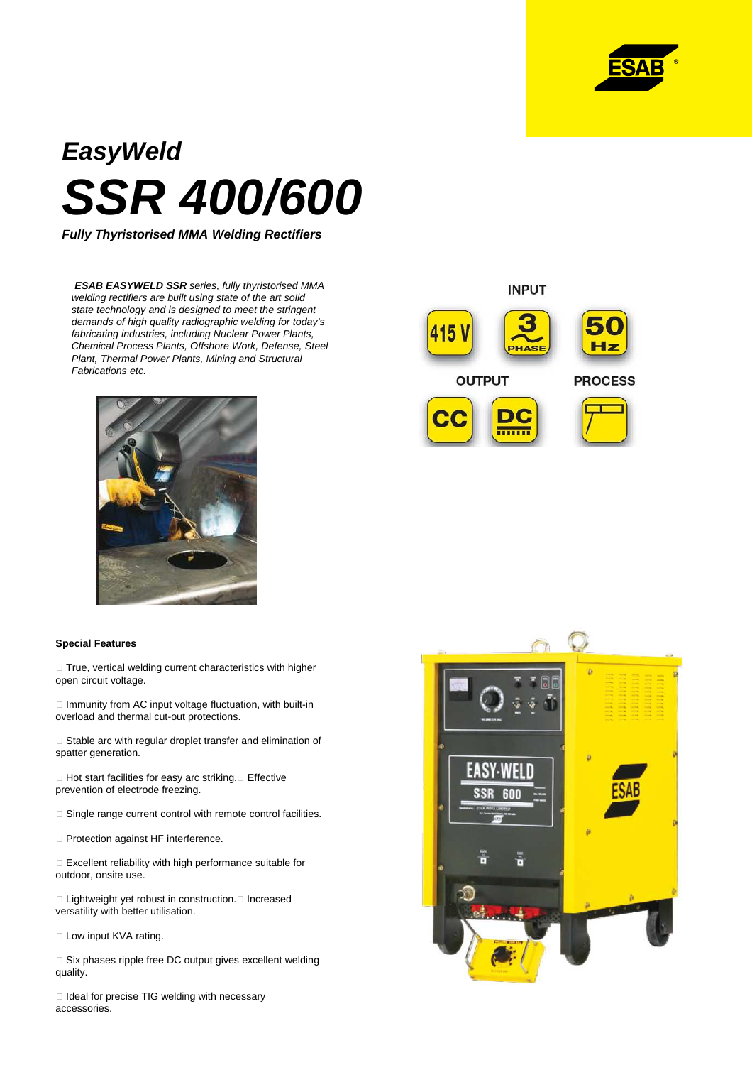

## **EasyWeld SSR 400/600**

**Fully Thyristorised MMA Welding Rectifiers**

**ESAB EASYWELD SSR** series, fully thyristorised MMA welding rectifiers are built using state of the art solid state technology and is designed to meet the stringent demands of high quality radiographic welding for today's fabricating industries, including Nuclear Power Plants, Chemical Process Plants, Offshore Work, Defense, Steel Plant, Thermal Power Plants, Mining and Structural Fabrications etc.



## **Special Features**

 True, vertical welding current characteristics with higher open circuit voltage.

 Immunity from AC input voltage fluctuation, with built-in overload and thermal cut-out protections.

 Stable arc with regular droplet transfer and elimination of spatter generation.

 Hot start facilities for easy arc striking. Effective prevention of electrode freezing.

Single range current control with remote control facilities.

Protection against HF interference.

 Excellent reliability with high performance suitable for outdoor, onsite use.

 Lightweight yet robust in construction. Increased versatility with better utilisation.

Low input KVA rating.

 Six phases ripple free DC output gives excellent welding quality.

 Ideal for precise TIG welding with necessary accessories.